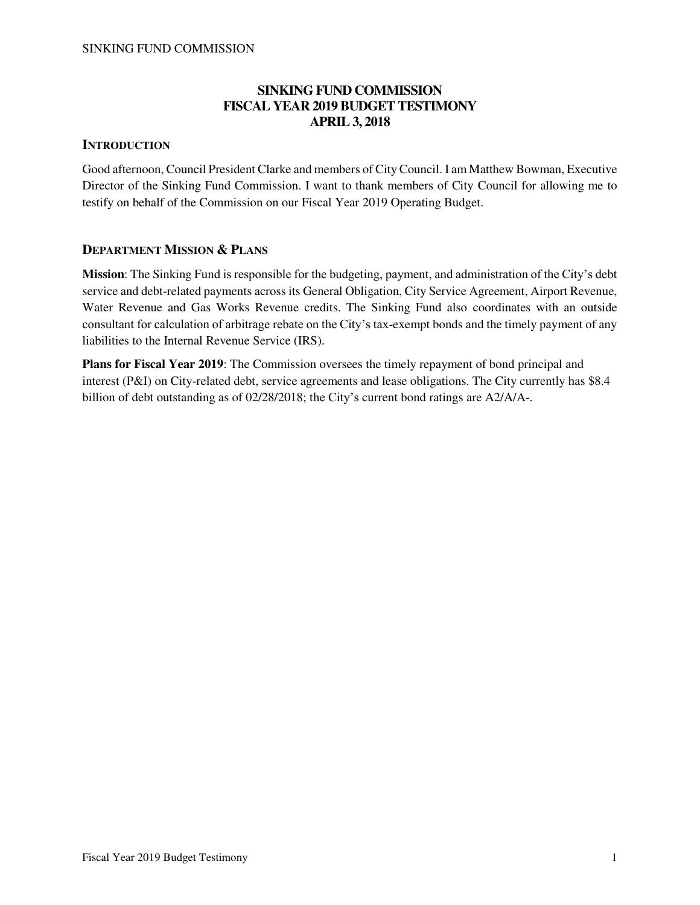## **SINKING FUND COMMISSION FISCAL YEAR 2019 BUDGET TESTIMONY APRIL 3, 2018**

## **INTRODUCTION**

Good afternoon, Council President Clarke and members of City Council. I am Matthew Bowman, Executive Director of the Sinking Fund Commission. I want to thank members of City Council for allowing me to testify on behalf of the Commission on our Fiscal Year 2019 Operating Budget.

## **DEPARTMENT MISSION & PLANS**

**Mission**: The Sinking Fund is responsible for the budgeting, payment, and administration of the City's debt service and debt-related payments across its General Obligation, City Service Agreement, Airport Revenue, Water Revenue and Gas Works Revenue credits. The Sinking Fund also coordinates with an outside consultant for calculation of arbitrage rebate on the City's tax-exempt bonds and the timely payment of any liabilities to the Internal Revenue Service (IRS).

**Plans for Fiscal Year 2019**: The Commission oversees the timely repayment of bond principal and interest (P&I) on City-related debt, service agreements and lease obligations. The City currently has \$8.4 billion of debt outstanding as of 02/28/2018; the City's current bond ratings are A2/A/A-.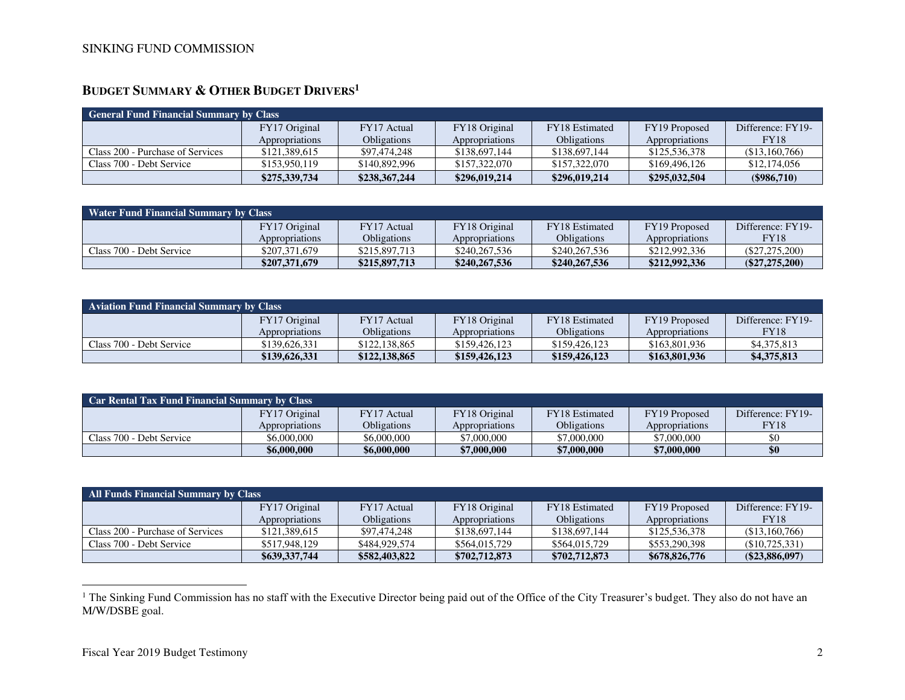# **BUDGET SUMMARY & OTHER BUDGET DRIVERS<sup>1</sup>**

| <b>General Fund Financial Summary by Class</b> |                |                    |                |                       |                |                   |
|------------------------------------------------|----------------|--------------------|----------------|-----------------------|----------------|-------------------|
|                                                | FY17 Original  | FY17 Actual        | FY18 Original  | <b>FY18</b> Estimated | FY19 Proposed  | Difference: FY19- |
|                                                | Appropriations | <b>Obligations</b> | Appropriations | <b>Obligations</b>    | Appropriations | <b>FY18</b>       |
| Class 200 - Purchase of Services               | \$121,389,615  | \$97.474.248       | \$138,697,144  | \$138,697,144         | \$125,536,378  | (\$13,160,766)    |
| Class 700 - Debt Service                       | \$153,950,119  | \$140,892,996      | \$157,322,070  | \$157,322,070         | \$169,496,126  | \$12,174,056      |
|                                                | \$275,339,734  | \$238,367,244      | \$296,019,214  | \$296,019,214         | \$295,032,504  | $(\$986,710)$     |

| <b>Water Fund Financial Summary by Class</b> |                |               |                |                    |                |                   |
|----------------------------------------------|----------------|---------------|----------------|--------------------|----------------|-------------------|
|                                              | FY17 Original  | FY17 Actual   | FY18 Original  | FY18 Estimated     | FY19 Proposed  | Difference: FY19- |
|                                              | Appropriations | Obligations   | Appropriations | <b>Obligations</b> | Appropriations | FY18              |
| Class 700 - Debt Service                     | \$207,371,679  | \$215,897,713 | \$240,267,536  | \$240,267,536      | \$212,992,336  | $(\$27,275,200)$  |
|                                              | \$207,371,679  | \$215,897,713 | \$240,267,536  | \$240,267,536      | \$212,992,336  | $(\$27,275,200)$  |

| <b>Aviation Fund Financial Summary by Class</b> |                |               |                |                    |                |                   |
|-------------------------------------------------|----------------|---------------|----------------|--------------------|----------------|-------------------|
|                                                 | FY17 Original  | FY17 Actual   | FY18 Original  | FY18 Estimated     | FY19 Proposed  | Difference: FY19- |
|                                                 | Appropriations | Obligations   | Appropriations | <b>Obligations</b> | Appropriations | FY18              |
| Class 700 - Debt Service                        | \$139,626,331  | \$122,138,865 | \$159,426,123  | \$159,426,123      | \$163,801,936  | \$4,375,813       |
|                                                 | \$139,626,331  | \$122,138,865 | \$159,426,123  | \$159,426,123      | \$163,801,936  | \$4,375,813       |

| Car Rental Tax Fund Financial Summary by Class |                |             |                |                       |                |                   |
|------------------------------------------------|----------------|-------------|----------------|-----------------------|----------------|-------------------|
|                                                | FY17 Original  | FY17 Actual | FY18 Original  | <b>FY18</b> Estimated | FY19 Proposed  | Difference: FY19- |
|                                                | Appropriations | Obligations | Appropriations | <b>Obligations</b>    | Appropriations | FY18              |
| Class 700 - Debt Service                       | \$6,000,000    | \$6,000,000 | \$7,000,000    | \$7,000,000           | \$7,000,000    | \$0               |
|                                                | \$6,000,000    | \$6,000,000 | \$7,000,000    | \$7,000,000           | \$7,000,000    | \$0               |

| All Funds Financial Summary by Class |                |               |                |                    |                |                   |  |
|--------------------------------------|----------------|---------------|----------------|--------------------|----------------|-------------------|--|
|                                      | FY17 Original  | FY17 Actual   | FY18 Original  | FY18 Estimated     | FY19 Proposed  | Difference: FY19- |  |
|                                      | Appropriations | Obligations   | Appropriations | <b>Obligations</b> | Appropriations | <b>FY18</b>       |  |
| Class 200 - Purchase of Services     | \$121,389,615  | \$97.474.248  | \$138,697,144  | \$138,697,144      | \$125,536,378  | (S13.160.766)     |  |
| Class 700 - Debt Service             | \$517,948,129  | \$484,929,574 | \$564,015,729  | \$564,015,729      | \$553,290,398  | (\$10,725,331)    |  |
|                                      | \$639,337,744  | \$582,403,822 | \$702,712,873  | \$702,712,873      | \$678,826,776  | $(\$23,886,097)$  |  |

<sup>&</sup>lt;sup>1</sup> The Sinking Fund Commission has no staff with the Executive Director being paid out of the Office of the City Treasurer's budget. They also do not have an M/W/DSBE goal.

 $\overline{a}$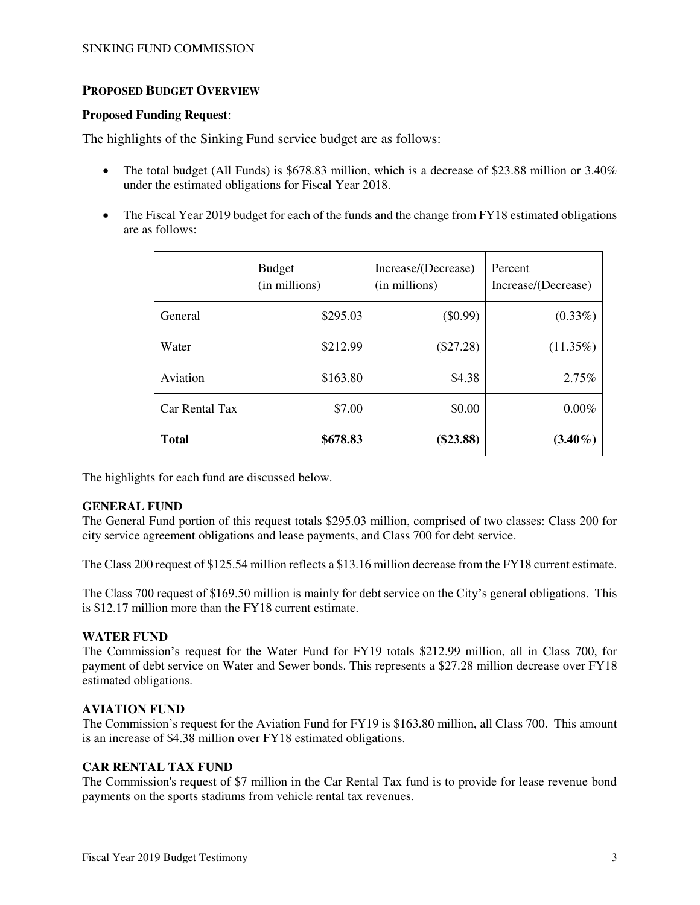## **PROPOSED BUDGET OVERVIEW**

#### **Proposed Funding Request**:

The highlights of the Sinking Fund service budget are as follows:

- The total budget (All Funds) is  $$678.83$  million, which is a decrease of \$23.88 million or 3.40% under the estimated obligations for Fiscal Year 2018.
- The Fiscal Year 2019 budget for each of the funds and the change from FY18 estimated obligations are as follows:

|                | <b>Budget</b><br>(in millions) | Increase/(Decrease)<br>(in millions) | Percent<br>Increase/(Decrease) |
|----------------|--------------------------------|--------------------------------------|--------------------------------|
| General        | \$295.03                       | $(\$0.99)$                           | $(0.33\%)$                     |
| Water          | \$212.99                       | $(\$27.28)$                          | $(11.35\%)$                    |
| Aviation       | \$163.80                       | \$4.38                               | $2.75\%$                       |
| Car Rental Tax | \$7.00                         | \$0.00                               | 0.00%                          |
| <b>Total</b>   | \$678.83                       | $(\$23.88)$                          | $(3.40\%)$                     |

The highlights for each fund are discussed below.

#### **GENERAL FUND**

The General Fund portion of this request totals \$295.03 million, comprised of two classes: Class 200 for city service agreement obligations and lease payments, and Class 700 for debt service.

The Class 200 request of \$125.54 million reflects a \$13.16 million decrease from the FY18 current estimate.

The Class 700 request of \$169.50 million is mainly for debt service on the City's general obligations. This is \$12.17 million more than the FY18 current estimate.

#### **WATER FUND**

The Commission's request for the Water Fund for FY19 totals \$212.99 million, all in Class 700, for payment of debt service on Water and Sewer bonds. This represents a \$27.28 million decrease over FY18 estimated obligations.

#### **AVIATION FUND**

The Commission's request for the Aviation Fund for FY19 is \$163.80 million, all Class 700. This amount is an increase of \$4.38 million over FY18 estimated obligations.

#### **CAR RENTAL TAX FUND**

The Commission's request of \$7 million in the Car Rental Tax fund is to provide for lease revenue bond payments on the sports stadiums from vehicle rental tax revenues.